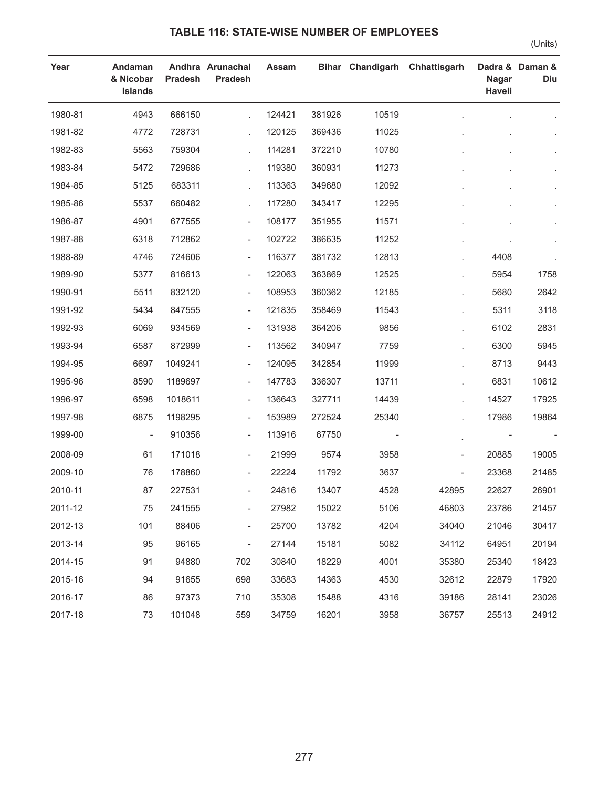## **TABLE 116: STATE-WISE NUMBER OF EMPLOYEES**

(Units)

| Year    | Andaman<br>& Nicobar<br><b>Islands</b> | <b>Pradesh</b> | Andhra Arunachal<br><b>Pradesh</b> | Assam  |        | <b>Bihar Chandigarh</b> | Chhattisgarh             | <b>Nagar</b><br>Haveli | Dadra & Daman &<br>Diu |
|---------|----------------------------------------|----------------|------------------------------------|--------|--------|-------------------------|--------------------------|------------------------|------------------------|
| 1980-81 | 4943                                   | 666150         |                                    | 124421 | 381926 | 10519                   |                          |                        |                        |
| 1981-82 | 4772                                   | 728731         |                                    | 120125 | 369436 | 11025                   |                          |                        |                        |
| 1982-83 | 5563                                   | 759304         |                                    | 114281 | 372210 | 10780                   |                          |                        |                        |
| 1983-84 | 5472                                   | 729686         | L.                                 | 119380 | 360931 | 11273                   |                          |                        |                        |
| 1984-85 | 5125                                   | 683311         |                                    | 113363 | 349680 | 12092                   |                          |                        |                        |
| 1985-86 | 5537                                   | 660482         |                                    | 117280 | 343417 | 12295                   |                          |                        |                        |
| 1986-87 | 4901                                   | 677555         | $\overline{\phantom{a}}$           | 108177 | 351955 | 11571                   |                          |                        |                        |
| 1987-88 | 6318                                   | 712862         | $\overline{\phantom{a}}$           | 102722 | 386635 | 11252                   |                          |                        |                        |
| 1988-89 | 4746                                   | 724606         | $\overline{\phantom{a}}$           | 116377 | 381732 | 12813                   |                          | 4408                   |                        |
| 1989-90 | 5377                                   | 816613         | $\overline{\phantom{a}}$           | 122063 | 363869 | 12525                   |                          | 5954                   | 1758                   |
| 1990-91 | 5511                                   | 832120         | $\overline{\phantom{a}}$           | 108953 | 360362 | 12185                   |                          | 5680                   | 2642                   |
| 1991-92 | 5434                                   | 847555         | $\overline{\phantom{a}}$           | 121835 | 358469 | 11543                   |                          | 5311                   | 3118                   |
| 1992-93 | 6069                                   | 934569         | $\overline{\phantom{a}}$           | 131938 | 364206 | 9856                    |                          | 6102                   | 2831                   |
| 1993-94 | 6587                                   | 872999         | $\overline{\phantom{a}}$           | 113562 | 340947 | 7759                    |                          | 6300                   | 5945                   |
| 1994-95 | 6697                                   | 1049241        | $\overline{\phantom{a}}$           | 124095 | 342854 | 11999                   |                          | 8713                   | 9443                   |
| 1995-96 | 8590                                   | 1189697        | $\overline{\phantom{a}}$           | 147783 | 336307 | 13711                   |                          | 6831                   | 10612                  |
| 1996-97 | 6598                                   | 1018611        | $\overline{\phantom{a}}$           | 136643 | 327711 | 14439                   |                          | 14527                  | 17925                  |
| 1997-98 | 6875                                   | 1198295        | $\overline{\phantom{a}}$           | 153989 | 272524 | 25340                   |                          | 17986                  | 19864                  |
| 1999-00 | $\overline{\phantom{a}}$               | 910356         | $\overline{\phantom{a}}$           | 113916 | 67750  |                         |                          |                        |                        |
| 2008-09 | 61                                     | 171018         | $\overline{\phantom{a}}$           | 21999  | 9574   | 3958                    | $\overline{\phantom{a}}$ | 20885                  | 19005                  |
| 2009-10 | 76                                     | 178860         | $\overline{\phantom{a}}$           | 22224  | 11792  | 3637                    | ÷                        | 23368                  | 21485                  |
| 2010-11 | 87                                     | 227531         | $\overline{\phantom{0}}$           | 24816  | 13407  | 4528                    | 42895                    | 22627                  | 26901                  |
| 2011-12 | 75                                     | 241555         |                                    | 27982  | 15022  | 5106                    | 46803                    | 23786                  | 21457                  |
| 2012-13 | 101                                    | 88406          | $\overline{\phantom{0}}$           | 25700  | 13782  | 4204                    | 34040                    | 21046                  | 30417                  |
| 2013-14 | 95                                     | 96165          | $\overline{\phantom{0}}$           | 27144  | 15181  | 5082                    | 34112                    | 64951                  | 20194                  |
| 2014-15 | 91                                     | 94880          | 702                                | 30840  | 18229  | 4001                    | 35380                    | 25340                  | 18423                  |
| 2015-16 | 94                                     | 91655          | 698                                | 33683  | 14363  | 4530                    | 32612                    | 22879                  | 17920                  |
| 2016-17 | 86                                     | 97373          | 710                                | 35308  | 15488  | 4316                    | 39186                    | 28141                  | 23026                  |
| 2017-18 | 73                                     | 101048         | 559                                | 34759  | 16201  | 3958                    | 36757                    | 25513                  | 24912                  |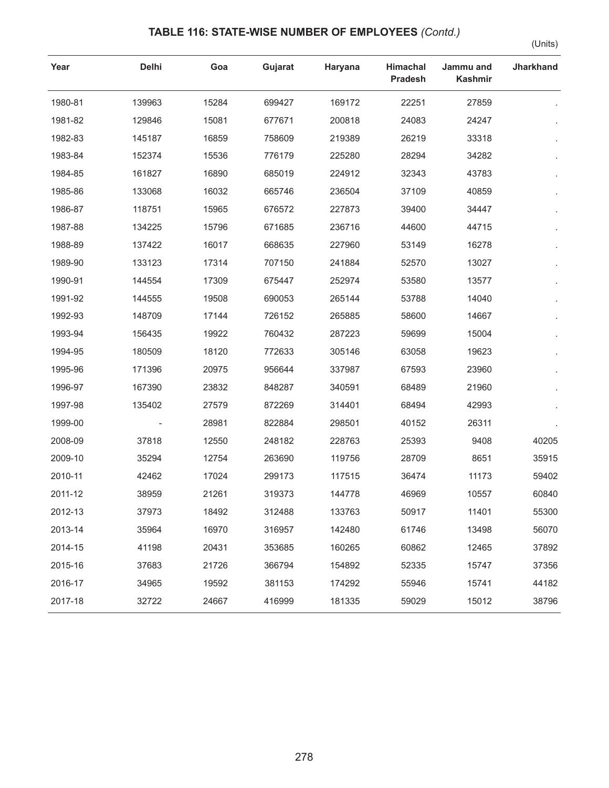## **TABLE 116: STATE-WISE NUMBER OF EMPLOYEES** *(Contd.)*

(Units)

| Year    | <b>Delhi</b> | Goa   | Gujarat | Haryana | <b>Himachal</b><br><b>Pradesh</b> | Jammu and<br><b>Kashmir</b> | <b>Jharkhand</b> |
|---------|--------------|-------|---------|---------|-----------------------------------|-----------------------------|------------------|
| 1980-81 | 139963       | 15284 | 699427  | 169172  | 22251                             | 27859                       |                  |
| 1981-82 | 129846       | 15081 | 677671  | 200818  | 24083                             | 24247                       |                  |
| 1982-83 | 145187       | 16859 | 758609  | 219389  | 26219                             | 33318                       |                  |
| 1983-84 | 152374       | 15536 | 776179  | 225280  | 28294                             | 34282                       |                  |
| 1984-85 | 161827       | 16890 | 685019  | 224912  | 32343                             | 43783                       |                  |
| 1985-86 | 133068       | 16032 | 665746  | 236504  | 37109                             | 40859                       |                  |
| 1986-87 | 118751       | 15965 | 676572  | 227873  | 39400                             | 34447                       |                  |
| 1987-88 | 134225       | 15796 | 671685  | 236716  | 44600                             | 44715                       |                  |
| 1988-89 | 137422       | 16017 | 668635  | 227960  | 53149                             | 16278                       |                  |
| 1989-90 | 133123       | 17314 | 707150  | 241884  | 52570                             | 13027                       |                  |
| 1990-91 | 144554       | 17309 | 675447  | 252974  | 53580                             | 13577                       |                  |
| 1991-92 | 144555       | 19508 | 690053  | 265144  | 53788                             | 14040                       |                  |
| 1992-93 | 148709       | 17144 | 726152  | 265885  | 58600                             | 14667                       |                  |
| 1993-94 | 156435       | 19922 | 760432  | 287223  | 59699                             | 15004                       |                  |
| 1994-95 | 180509       | 18120 | 772633  | 305146  | 63058                             | 19623                       |                  |
| 1995-96 | 171396       | 20975 | 956644  | 337987  | 67593                             | 23960                       |                  |
| 1996-97 | 167390       | 23832 | 848287  | 340591  | 68489                             | 21960                       |                  |
| 1997-98 | 135402       | 27579 | 872269  | 314401  | 68494                             | 42993                       |                  |
| 1999-00 |              | 28981 | 822884  | 298501  | 40152                             | 26311                       |                  |
| 2008-09 | 37818        | 12550 | 248182  | 228763  | 25393                             | 9408                        | 40205            |
| 2009-10 | 35294        | 12754 | 263690  | 119756  | 28709                             | 8651                        | 35915            |
| 2010-11 | 42462        | 17024 | 299173  | 117515  | 36474                             | 11173                       | 59402            |
| 2011-12 | 38959        | 21261 | 319373  | 144778  | 46969                             | 10557                       | 60840            |
| 2012-13 | 37973        | 18492 | 312488  | 133763  | 50917                             | 11401                       | 55300            |
| 2013-14 | 35964        | 16970 | 316957  | 142480  | 61746                             | 13498                       | 56070            |
| 2014-15 | 41198        | 20431 | 353685  | 160265  | 60862                             | 12465                       | 37892            |
| 2015-16 | 37683        | 21726 | 366794  | 154892  | 52335                             | 15747                       | 37356            |
| 2016-17 | 34965        | 19592 | 381153  | 174292  | 55946                             | 15741                       | 44182            |
| 2017-18 | 32722        | 24667 | 416999  | 181335  | 59029                             | 15012                       | 38796            |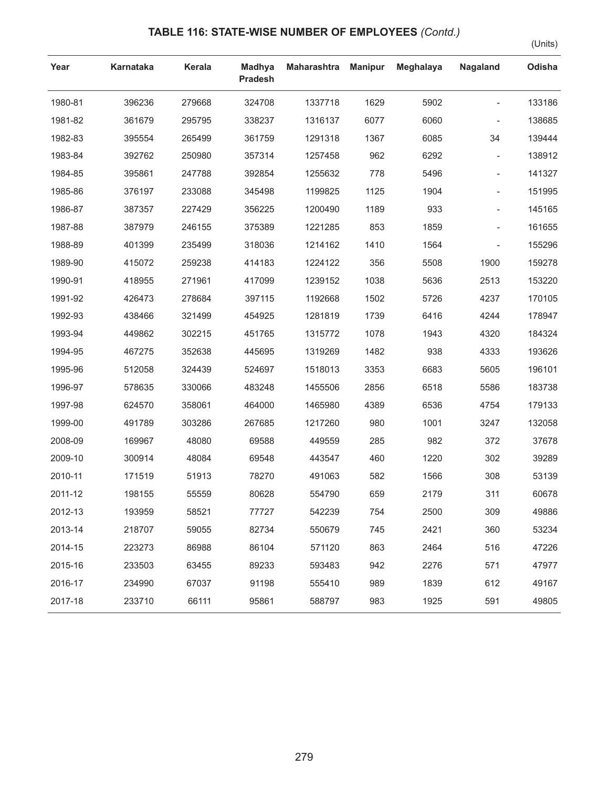## **TABLE 116: STATE-WISE NUMBER OF EMPLOYEES** *(Contd.)*

(Units)

| Year    | <b>Karnataka</b> | Kerala | <b>Madhya</b><br><b>Pradesh</b> | <b>Maharashtra</b> | <b>Manipur</b> | <b>Meghalaya</b> | Nagaland                 | Odisha |
|---------|------------------|--------|---------------------------------|--------------------|----------------|------------------|--------------------------|--------|
| 1980-81 | 396236           | 279668 | 324708                          | 1337718            | 1629           | 5902             |                          | 133186 |
| 1981-82 | 361679           | 295795 | 338237                          | 1316137            | 6077           | 6060             |                          | 138685 |
| 1982-83 | 395554           | 265499 | 361759                          | 1291318            | 1367           | 6085             | 34                       | 139444 |
| 1983-84 | 392762           | 250980 | 357314                          | 1257458            | 962            | 6292             | $\overline{\phantom{a}}$ | 138912 |
| 1984-85 | 395861           | 247788 | 392854                          | 1255632            | 778            | 5496             | $\overline{\phantom{a}}$ | 141327 |
| 1985-86 | 376197           | 233088 | 345498                          | 1199825            | 1125           | 1904             |                          | 151995 |
| 1986-87 | 387357           | 227429 | 356225                          | 1200490            | 1189           | 933              |                          | 145165 |
| 1987-88 | 387979           | 246155 | 375389                          | 1221285            | 853            | 1859             |                          | 161655 |
| 1988-89 | 401399           | 235499 | 318036                          | 1214162            | 1410           | 1564             |                          | 155296 |
| 1989-90 | 415072           | 259238 | 414183                          | 1224122            | 356            | 5508             | 1900                     | 159278 |
| 1990-91 | 418955           | 271961 | 417099                          | 1239152            | 1038           | 5636             | 2513                     | 153220 |
| 1991-92 | 426473           | 278684 | 397115                          | 1192668            | 1502           | 5726             | 4237                     | 170105 |
| 1992-93 | 438466           | 321499 | 454925                          | 1281819            | 1739           | 6416             | 4244                     | 178947 |
| 1993-94 | 449862           | 302215 | 451765                          | 1315772            | 1078           | 1943             | 4320                     | 184324 |
| 1994-95 | 467275           | 352638 | 445695                          | 1319269            | 1482           | 938              | 4333                     | 193626 |
| 1995-96 | 512058           | 324439 | 524697                          | 1518013            | 3353           | 6683             | 5605                     | 196101 |
| 1996-97 | 578635           | 330066 | 483248                          | 1455506            | 2856           | 6518             | 5586                     | 183738 |
| 1997-98 | 624570           | 358061 | 464000                          | 1465980            | 4389           | 6536             | 4754                     | 179133 |
| 1999-00 | 491789           | 303286 | 267685                          | 1217260            | 980            | 1001             | 3247                     | 132058 |
| 2008-09 | 169967           | 48080  | 69588                           | 449559             | 285            | 982              | 372                      | 37678  |
| 2009-10 | 300914           | 48084  | 69548                           | 443547             | 460            | 1220             | 302                      | 39289  |
| 2010-11 | 171519           | 51913  | 78270                           | 491063             | 582            | 1566             | 308                      | 53139  |
| 2011-12 | 198155           | 55559  | 80628                           | 554790             | 659            | 2179             | 311                      | 60678  |
| 2012-13 | 193959           | 58521  | 77727                           | 542239             | 754            | 2500             | 309                      | 49886  |
| 2013-14 | 218707           | 59055  | 82734                           | 550679             | 745            | 2421             | 360                      | 53234  |
| 2014-15 | 223273           | 86988  | 86104                           | 571120             | 863            | 2464             | 516                      | 47226  |
| 2015-16 | 233503           | 63455  | 89233                           | 593483             | 942            | 2276             | 571                      | 47977  |
| 2016-17 | 234990           | 67037  | 91198                           | 555410             | 989            | 1839             | 612                      | 49167  |
| 2017-18 | 233710           | 66111  | 95861                           | 588797             | 983            | 1925             | 591                      | 49805  |